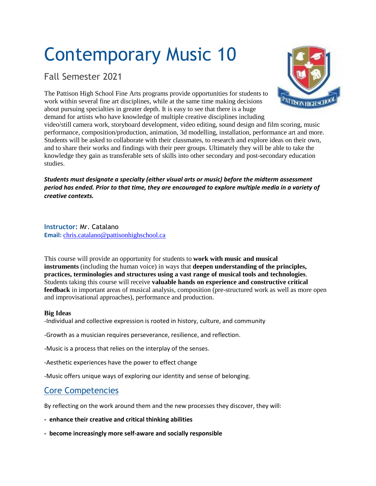# Contemporary Music 10

## Fall Semester 2021

**TISON HIGH SCHO** 

The Pattison High School Fine Arts programs provide opportunities for students to work within several fine art disciplines, while at the same time making decisions about pursuing specialties in greater depth. It is easy to see that there is a huge demand for artists who have knowledge of multiple creative disciplines including

video/still camera work, storyboard development, video editing, sound design and film scoring, music performance, composition/production, animation, 3d modelling, installation, performance art and more. Students will be asked to collaborate with their classmates, to research and explore ideas on their own, and to share their works and findings with their peer groups. Ultimately they will be able to take the knowledge they gain as transferable sets of skills into other secondary and post-secondary education studies.

*Students must designate a specialty (either visual arts or music) before the midterm assessment* period has ended. Prior to that time, they are encouraged to explore multiple media in a variety of *creative contexts.*

**Instructor:** Mr. Catalano **Email:** [chris.catalano@pattisonhighschool.ca](mailto:chris.catalano@pattisonhighschool.ca)

This course will provide an opportunity for students to **work with music and musical instruments** (including the human voice) in ways that **deepen understanding of the principles, practices, terminologies and structures using a vast range of musical tools and technologies**. Students taking this course will receive **valuable hands on experience and constructive critical feedback** in important areas of musical analysis, composition (pre-structured work as well as more open and improvisational approaches), performance and production.

#### **Big Ideas**

-Individual and collective expression is rooted in history, culture, and community

-Growth as a musician requires perseverance, resilience, and reflection.

-Music is a process that relies on the interplay of the senses.

-Aesthetic experiences have the power to effect change

-Music offers unique ways of exploring our identity and sense of belonging.

## Core Competencies

By reflecting on the work around them and the new processes they discover, they will:

**- enhance their creative and critical thinking abilities**

**- become increasingly more self-aware and socially responsible**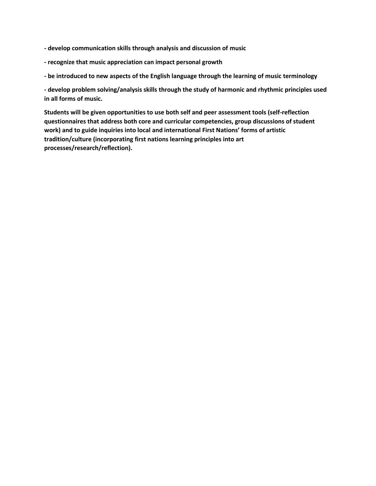**- develop communication skills through analysis and discussion of music**

- **- recognize that music appreciation can impact personal growth**
- **- be introduced to new aspects of the English language through the learning of music terminology**

**- develop problem solving/analysis skills through the study of harmonic and rhythmic principles used in all forms of music.**

**Students will be given opportunities to use both self and peer assessment tools (self-reflection questionnaires that address both core and curricular competencies, group discussions of student work) and to guide inquiries into local and international First Nations' forms of artistic tradition/culture (incorporating first nations learning principles into art processes/research/reflection).**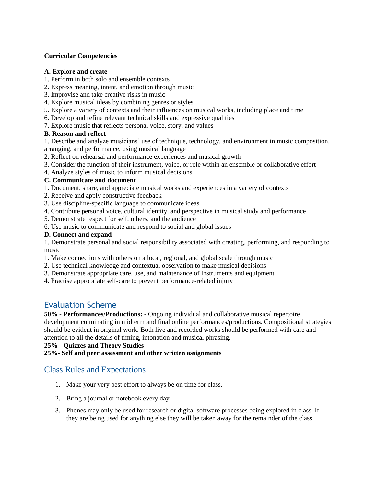#### **Curricular Competencies**

#### **A. Explore and create**

- 1. Perform in both solo and ensemble contexts
- 2. Express meaning, intent, and emotion through music
- 3. Improvise and take creative risks in music
- 4. Explore musical ideas by combining genres or styles
- 5. Explore a variety of contexts and their influences on musical works, including place and time
- 6. Develop and refine relevant technical skills and expressive qualities
- 7. Explore music that reflects personal voice, story, and values

#### **B. Reason and reflect**

1. Describe and analyze musicians' use of technique, technology, and environment in music composition, arranging, and performance, using musical language

- 2. Reflect on rehearsal and performance experiences and musical growth
- 3. Consider the function of their instrument, voice, or role within an ensemble or collaborative effort
- 4. Analyze styles of music to inform musical decisions

#### **C. Communicate and document**

- 1. Document, share, and appreciate musical works and experiences in a variety of contexts
- 2. Receive and apply constructive feedback
- 3. Use discipline-specific language to communicate ideas
- 4. Contribute personal voice, cultural identity, and perspective in musical study and performance
- 5. Demonstrate respect for self, others, and the audience
- 6. Use music to communicate and respond to social and global issues

#### **D. Connect and expand**

1. Demonstrate personal and social responsibility associated with creating, performing, and responding to music

- 1. Make connections with others on a local, regional, and global scale through music
- 2. Use technical knowledge and contextual observation to make musical decisions
- 3. Demonstrate appropriate care, use, and maintenance of instruments and equipment
- 4. Practise appropriate self-care to prevent performance-related injury

### Evaluation Scheme

**50% - Performances/Productions: -** Ongoing individual and collaborative musical repertoire development culminating in midterm and final online performances/productions. Compositional strategies should be evident in original work. Both live and recorded works should be performed with care and attention to all the details of timing, intonation and musical phrasing.

**25% - Quizzes and Theory Studies**

**25%- Self and peer assessment and other written assignments**

#### Class Rules and Expectations

- 1. Make your very best effort to always be on time for class.
- 2. Bring a journal or notebook every day.
- 3. Phones may only be used for research or digital software processes being explored in class. If they are being used for anything else they will be taken away for the remainder of the class.